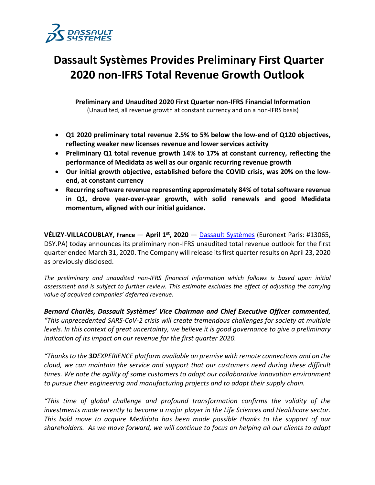

# **Dassault Systèmes Provides Preliminary First Quarter 2020 non-IFRS Total Revenue Growth Outlook**

**Preliminary and Unaudited 2020 First Quarter non-IFRS Financial Information** (Unaudited, all revenue growth at constant currency and on a non-IFRS basis)

- **Q1 2020 preliminary total revenue 2.5% to 5% below the low-end of Q120 objectives, reflecting weaker new licenses revenue and lower services activity**
- **Preliminary Q1 total revenue growth 14% to 17% at constant currency, reflecting the performance of Medidata as well as our organic recurring revenue growth**
- **Our initial growth objective, established before the COVID crisis, was 20% on the lowend, at constant currency**
- **Recurring software revenue representing approximately 84% of total software revenue in Q1, drove year-over-year growth, with solid renewals and good Medidata momentum, aligned with our initial guidance.**

**VÉLIZY-VILLACOUBLAY, France** — **April 1st, 2020** — [Dassault Systèmes](http://www.3ds.com/) (Euronext Paris: #13065, DSY.PA) today announces its preliminary non-IFRS unaudited total revenue outlook for the first quarter ended March 31, 2020. The Company will release its first quarter results on April 23, 2020 as previously disclosed.

*The preliminary and unaudited non-IFRS financial information which follows is based upon initial assessment and is subject to further review. This estimate excludes the effect of adjusting the carrying value of acquired companies' deferred revenue.* 

*Bernard Charlès, Dassault Systèmes' Vice Chairman and Chief Executive Officer commented, "This unprecedented SARS-CoV-2 crisis will create tremendous challenges for society at multiple levels. In this context of great uncertainty, we believe it is good governance to give a preliminary indication of its impact on our revenue for the first quarter 2020.*

*"Thanks to the 3DEXPERIENCE platform available on premise with remote connections and on the cloud, we can maintain the service and support that our customers need during these difficult times. We note the agility of some customers to adopt our collaborative innovation environment to pursue their engineering and manufacturing projects and to adapt their supply chain.* 

*"This time of global challenge and profound transformation confirms the validity of the investments made recently to become a major player in the Life Sciences and Healthcare sector. This bold move to acquire Medidata has been made possible thanks to the support of our shareholders. As we move forward, we will continue to focus on helping all our clients to adapt*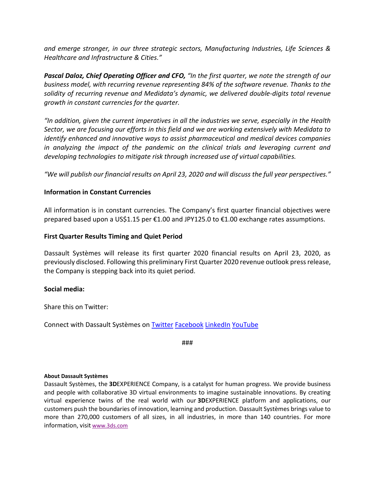*and emerge stronger, in our three strategic sectors, Manufacturing Industries, Life Sciences & Healthcare and Infrastructure & Cities."*

*Pascal Daloz, Chief Operating Officer and CFO, "In the first quarter, we note the strength of our business model, with recurring revenue representing 84% of the software revenue. Thanks to the solidity of recurring revenue and Medidata's dynamic, we delivered double-digits total revenue growth in constant currencies for the quarter.* 

*"In addition, given the current imperatives in all the industries we serve, especially in the Health Sector, we are focusing our efforts in this field and we are working extensively with Medidata to identify enhanced and innovative ways to assist pharmaceutical and medical devices companies in analyzing the impact of the pandemic on the clinical trials and leveraging current and developing technologies to mitigate risk through increased use of virtual capabilities.* 

*"We will publish our financial results on April 23, 2020 and will discuss the full year perspectives."*

# **Information in Constant Currencies**

All information is in constant currencies. The Company's first quarter financial objectives were prepared based upon a US\$1.15 per €1.00 and JPY125.0 to €1.00 exchange rates assumptions.

## **First Quarter Results Timing and Quiet Period**

Dassault Systèmes will release its first quarter 2020 financial results on April 23, 2020, as previously disclosed. Following this preliminary First Quarter 2020 revenue outlook press release, the Company is stepping back into its quiet period.

### **Social media:**

Share this on Twitter:

Connect with Dassault Systèmes on [Twitter](https://twitter.com/Dassault3DS) [Facebook](https://www.facebook.com/DassaultSystemes) [LinkedIn](https://www.linkedin.com/company/dassaultsystemes) [YouTube](https://www.youtube.com/DassaultSystemes)

###

#### **About Dassault Systèmes**

Dassault Systèmes, the **3D**EXPERIENCE Company, is a catalyst for human progress. We provide business and people with collaborative 3D virtual environments to imagine sustainable innovations. By creating virtual experience twins of the real world with our **3D**EXPERIENCE platform and applications, our customers push the boundaries of innovation, learning and production. Dassault Systèmes brings value to more than 270,000 customers of all sizes, in all industries, in more than 140 countries. For more information, visit [www.3ds.com](http://www.3ds.com/)